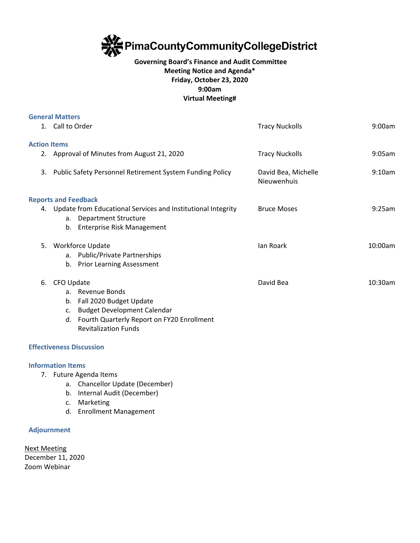

# **Governing Board's Finance and Audit Committee Meeting Notice and Agenda\* Friday, October 23, 2020 9:00am Virtual Meeting#**

|                     | <b>General Matters</b>                                                                                                                   |                                    |         |
|---------------------|------------------------------------------------------------------------------------------------------------------------------------------|------------------------------------|---------|
|                     | 1. Call to Order                                                                                                                         | <b>Tracy Nuckolls</b>              | 9:00am  |
| <b>Action Items</b> |                                                                                                                                          |                                    |         |
|                     | 2. Approval of Minutes from August 21, 2020                                                                                              | <b>Tracy Nuckolls</b>              | 9:05am  |
| 3.                  | Public Safety Personnel Retirement System Funding Policy                                                                                 | David Bea, Michelle<br>Nieuwenhuis | 9:10am  |
|                     | <b>Reports and Feedback</b>                                                                                                              |                                    |         |
|                     | 4. Update from Educational Services and Institutional Integrity<br><b>Department Structure</b><br>а.<br>Enterprise Risk Management<br>b. | <b>Bruce Moses</b>                 | 9:25am  |
| 5.                  | Workforce Update                                                                                                                         | lan Roark                          | 10:00am |
|                     | <b>Public/Private Partnerships</b><br>а.                                                                                                 |                                    |         |
|                     | <b>Prior Learning Assessment</b><br>b.                                                                                                   |                                    |         |
| 6.                  | CFO Update                                                                                                                               | David Bea                          | 10:30am |
|                     | a. Revenue Bonds                                                                                                                         |                                    |         |
|                     | Fall 2020 Budget Update<br>b.                                                                                                            |                                    |         |
|                     | <b>Budget Development Calendar</b><br>$\mathsf{C}$ .                                                                                     |                                    |         |
|                     | Fourth Quarterly Report on FY20 Enrollment<br>d.                                                                                         |                                    |         |
|                     | <b>Revitalization Funds</b>                                                                                                              |                                    |         |

# **Effectiveness Discussion**

#### **Information Items**

- 7. Future Agenda Items
	- a. Chancellor Update (December)
	- b. Internal Audit (December)
	- c. Marketing
	- d. Enrollment Management

### **Adjournment**

Next Meeting December 11, 2020 Zoom Webinar